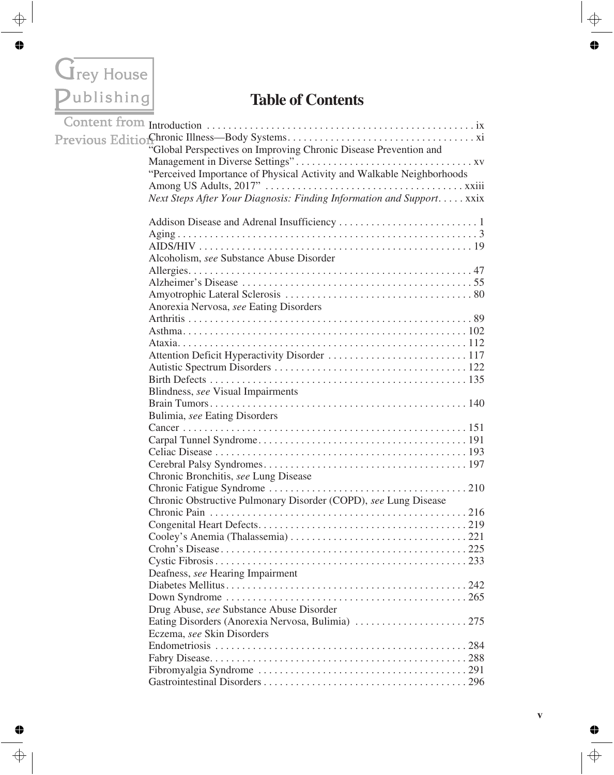## Grey House

## **Table of Contents**

| "Global Perspectives on Improving Chronic Disease Prevention and      |
|-----------------------------------------------------------------------|
|                                                                       |
| "Perceived Importance of Physical Activity and Walkable Neighborhoods |
|                                                                       |
| Next Steps After Your Diagnosis: Finding Information and Support xxix |
|                                                                       |
|                                                                       |
|                                                                       |
|                                                                       |
| Alcoholism, see Substance Abuse Disorder                              |
|                                                                       |
|                                                                       |
|                                                                       |
| Anorexia Nervosa, see Eating Disorders                                |
|                                                                       |
|                                                                       |
|                                                                       |
|                                                                       |
|                                                                       |
|                                                                       |
| Blindness, see Visual Impairments                                     |
|                                                                       |
| Bulimia, see Eating Disorders                                         |
|                                                                       |
|                                                                       |
|                                                                       |
|                                                                       |
| Chronic Bronchitis, see Lung Disease                                  |
|                                                                       |
| Chronic Obstructive Pulmonary Disorder (COPD), see Lung Disease       |
|                                                                       |
|                                                                       |
|                                                                       |
|                                                                       |
|                                                                       |
| Deafness, see Hearing Impairment                                      |
|                                                                       |
|                                                                       |
| Drug Abuse, see Substance Abuse Disorder                              |
|                                                                       |
| Eczema, see Skin Disorders                                            |
|                                                                       |
|                                                                       |
|                                                                       |
|                                                                       |
|                                                                       |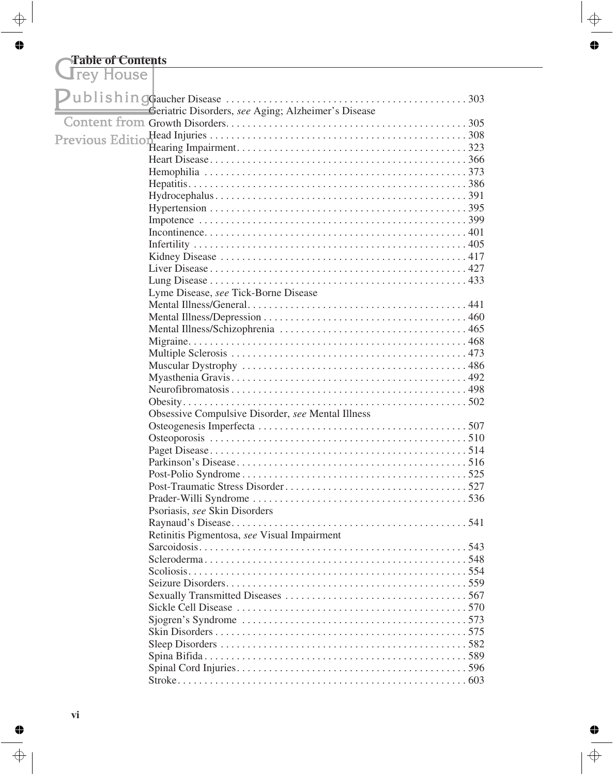## **Table of Contents**

| <b>AICA ITORSC</b> |                                                     |
|--------------------|-----------------------------------------------------|
|                    |                                                     |
|                    | Geriatric Disorders, see Aging; Alzheimer's Disease |
|                    |                                                     |
|                    |                                                     |
|                    |                                                     |
|                    |                                                     |
|                    |                                                     |
|                    |                                                     |
|                    |                                                     |
|                    |                                                     |
|                    |                                                     |
|                    |                                                     |
|                    |                                                     |
|                    |                                                     |
|                    |                                                     |
|                    |                                                     |
|                    | Lyme Disease, see Tick-Borne Disease                |
|                    |                                                     |
|                    |                                                     |
|                    |                                                     |
|                    |                                                     |
|                    |                                                     |
|                    |                                                     |
|                    |                                                     |
|                    |                                                     |
|                    |                                                     |
|                    | Obsessive Compulsive Disorder, see Mental Illness   |
|                    |                                                     |
|                    |                                                     |
|                    |                                                     |
|                    |                                                     |
|                    |                                                     |
|                    |                                                     |
|                    |                                                     |
|                    | Psoriasis, see Skin Disorders                       |
|                    |                                                     |
|                    | Retinitis Pigmentosa, see Visual Impairment         |
|                    |                                                     |
|                    |                                                     |
|                    |                                                     |
|                    |                                                     |
|                    |                                                     |
|                    |                                                     |
|                    |                                                     |
|                    |                                                     |
|                    |                                                     |
|                    |                                                     |
|                    |                                                     |
|                    |                                                     |